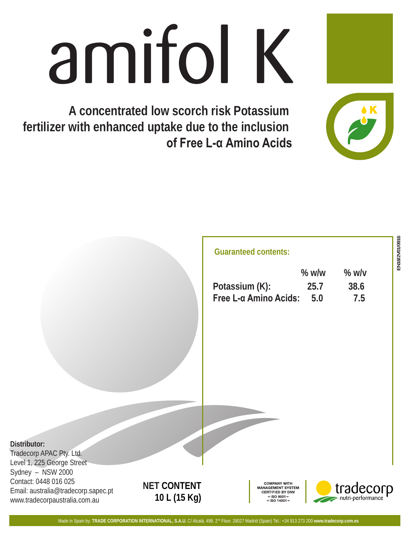# amifol K

**A concentrated low scorch risk Potassium fertilizer with enhanced uptake due to the inclusion of Free L-α Amino Acids**

## **Guaranteed contents:**

|                       | $%$ w/w |      |
|-----------------------|---------|------|
| Potassium (K):        | 25.7    | 38.6 |
| Free L-α Amino Acids: | 5.0     | 7.5  |

Tradecorp APAC Pty. Ltd. Level 1, 225 George Street Sydney – NSW 2000 Contact: 0448 016 025 Email: australia@tradecorp.sapec.pt www.tradecorpaustralia.com.au

# **NET CONTENT 10 L (15 Kg)**

COMPANY WITH **ANAGEMENT SYSTEM** CERTIFIED BY DN  $\blacksquare$  ISO 9001 $\blacksquare$